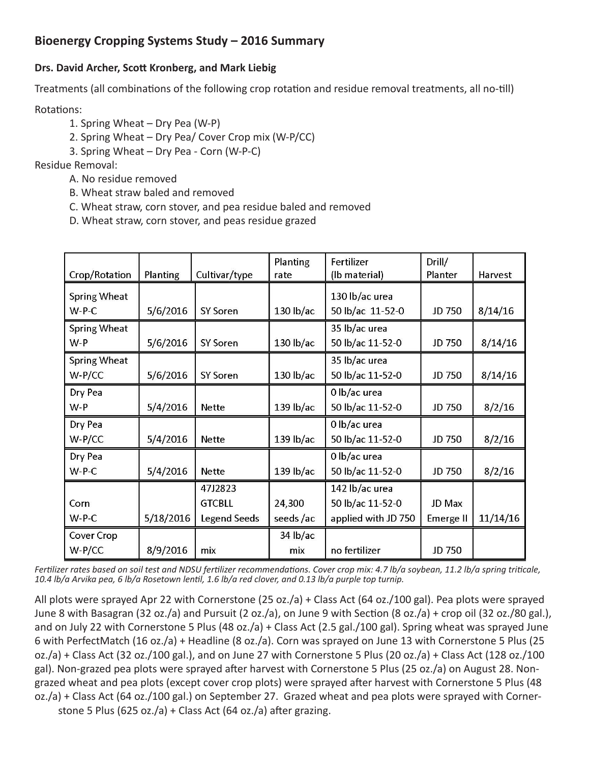## **Bioenergy Cropping Systems Study – 2016 Summary**

## **Drs. David Archer, Scott Kronberg, and Mark Liebig**

Treatments (all combinations of the following crop rotation and residue removal treatments, all no-till)

Rotations:

- 1. Spring Wheat Dry Pea (W-P)
- 2. Spring Wheat Dry Pea/ Cover Crop mix (W-P/CC)
- 3. Spring Wheat Dry Pea Corn (W-P-C)

Residue Removal:

- A. No residue removed
- B. Wheat straw baled and removed
- C. Wheat straw, corn stover, and pea residue baled and removed
- D. Wheat straw, corn stover, and peas residue grazed

| Crop/Rotation       | Planting  | Cultivar/type       | Planting<br>rate | Fertilizer<br>(lb material) | Drill/<br>Planter | Harvest  |
|---------------------|-----------|---------------------|------------------|-----------------------------|-------------------|----------|
| <b>Spring Wheat</b> |           |                     |                  | 130 lb/ac urea              |                   |          |
| $W-P-C$             | 5/6/2016  | <b>SY Soren</b>     | $130$ lb/ac      | 50 lb/ac 11-52-0            | JD 750            | 8/14/16  |
| Spring Wheat        |           |                     |                  | 35 lb/ac urea               |                   |          |
| W-P                 | 5/6/2016  | <b>SY Soren</b>     | 130 lb/ac        | 50 lb/ac 11-52-0            | JD 750            | 8/14/16  |
| Spring Wheat        |           |                     |                  | 35 lb/ac urea               |                   |          |
| $W-P/CC$            | 5/6/2016  | <b>SY Soren</b>     | $130$ lb/ac      | 50 lb/ac 11-52-0            | JD 750            | 8/14/16  |
| Dry Pea             |           |                     |                  | 0 lb/ac urea                |                   |          |
| W-P                 | 5/4/2016  | <b>Nette</b>        | 139 lb/ac        | 50 lb/ac 11-52-0            | JD 750            | 8/2/16   |
| Dry Pea             |           |                     |                  | 0 lb/ac urea                |                   |          |
| $W-P/CC$            | 5/4/2016  | <b>Nette</b>        | 139 lb/ac        | 50 lb/ac 11-52-0            | JD 750            | 8/2/16   |
| Dry Pea             |           |                     |                  | 0 lb/ac urea                |                   |          |
| $W-PC$              | 5/4/2016  | Nette               | 139 lb/ac        | 50 lb/ac 11-52-0            | JD 750            | 8/2/16   |
|                     |           | 47J2823             |                  | 142 lb/ac urea              |                   |          |
| Corn                |           | <b>GTCBLL</b>       | 24,300           | 50 lb/ac 11-52-0            | JD Max            |          |
| $W-PC$              | 5/18/2016 | <b>Legend Seeds</b> | seeds/ac         | applied with JD 750         | Emerge II         | 11/14/16 |
| Cover Crop          |           |                     | 34 lb/ac         |                             |                   |          |
| W-P/CC              | 8/9/2016  | mix                 | mix              | no fertilizer               | JD 750            |          |

*Fertilizer rates based on soil test and NDSU fertilizer recommendations. Cover crop mix: 4.7 lb/a soybean, 11.2 lb/a spring triticale, 10.4 lb/a Arvika pea, 6 lb/a Rosetown lentil, 1.6 lb/a red clover, and 0.13 lb/a purple top turnip.* 

All plots were sprayed Apr 22 with Cornerstone (25 oz./a) + Class Act (64 oz./100 gal). Pea plots were sprayed June 8 with Basagran (32 oz./a) and Pursuit (2 oz./a), on June 9 with Section (8 oz./a) + crop oil (32 oz./80 gal.), and on July 22 with Cornerstone 5 Plus (48 oz./a) + Class Act (2.5 gal./100 gal). Spring wheat was sprayed June 6 with PerfectMatch (16 oz./a) + Headline (8 oz./a). Corn was sprayed on June 13 with Cornerstone 5 Plus (25 oz./a) + Class Act (32 oz./100 gal.), and on June 27 with Cornerstone 5 Plus (20 oz./a) + Class Act (128 oz./100 gal). Non-grazed pea plots were sprayed after harvest with Cornerstone 5 Plus (25 oz./a) on August 28. Nongrazed wheat and pea plots (except cover crop plots) were sprayed after harvest with Cornerstone 5 Plus (48 oz./a) + Class Act (64 oz./100 gal.) on September 27. Grazed wheat and pea plots were sprayed with Corner-

stone 5 Plus (625 oz./a) + Class Act (64 oz./a) after grazing.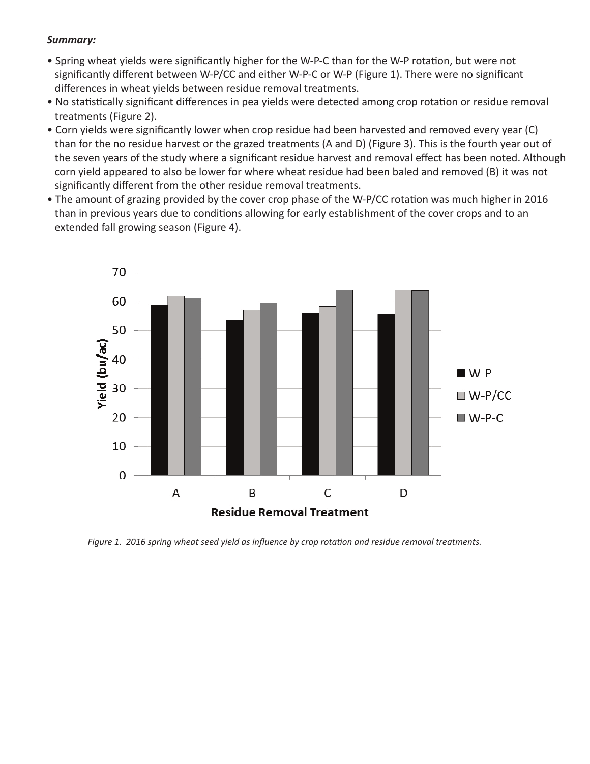## *Summary:*

- Spring wheat yields were significantly higher for the W-P-C than for the W-P rotation, but were not significantly different between W-P/CC and either W-P-C or W-P (Figure 1). There were no significant differences in wheat yields between residue removal treatments.
- No statistically significant differences in pea yields were detected among crop rotation or residue removal treatments (Figure 2).
- Corn yields were significantly lower when crop residue had been harvested and removed every year (C) than for the no residue harvest or the grazed treatments (A and D) (Figure 3). This is the fourth year out of the seven years of the study where a significant residue harvest and removal effect has been noted. Although corn yield appeared to also be lower for where wheat residue had been baled and removed (B) it was not significantly different from the other residue removal treatments.
- The amount of grazing provided by the cover crop phase of the W-P/CC rotation was much higher in 2016 than in previous years due to conditions allowing for early establishment of the cover crops and to an extended fall growing season (Figure 4).



*Figure 1. 2016 spring wheat seed yield as influence by crop rotation and residue removal treatments.*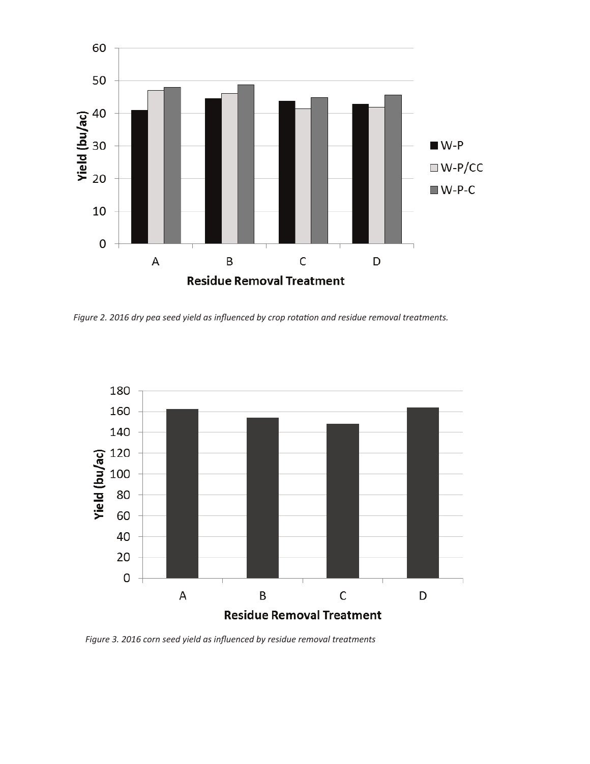

*Figure 2. 2016 dry pea seed yield as influenced by crop rotation and residue removal treatments.*



*Figure 3. 2016 corn seed yield as influenced by residue removal treatments*